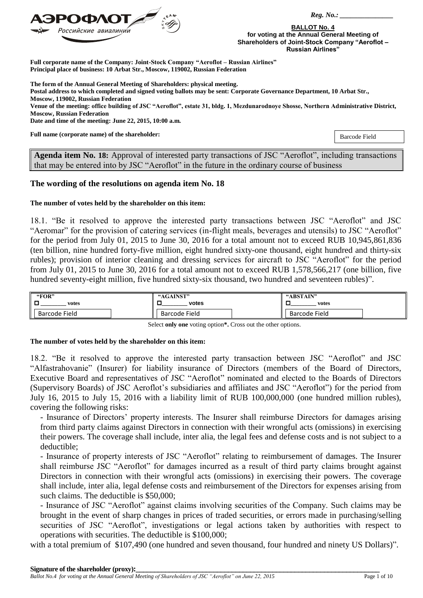

**BALLOT No. 4 for voting at the Annual General Meeting of Shareholders of Joint-Stock Company "Aeroflot – Russian Airlines"**

**Full corporate name of the Company: Joint-Stock Company "Aeroflot – Russian Airlines" Principal place of business: 10 Arbat Str., Moscow, 119002, Russian Federation**

**The form of the Annual General Meeting of Shareholders: physical meeting.**

**Postal address to which completed and signed voting ballots may be sent: Corporate Governance Department, 10 Arbat Str., Moscow, 119002, Russian Federation**

**Venue of the meeting: office building of JSC "Aeroflot", estate 31, bldg. 1, Mezdunarodnoye Shosse, Northern Administrative District, Moscow, Russian Federation**

**Date and time of the meeting: June 22, 2015, 10:00 a.m.**

**Full name (corporate name) of the shareholder:** 

Barcode Field

**Agenda item No. 18:** Approval of interested party transactions of JSC "Aeroflot", including transactions that may be entered into by JSC "Aeroflot" in the future in the ordinary course of business

## **The wording of the resolutions on agenda item No. 18**

### **The number of votes held by the shareholder on this item:**

18.1. "Be it resolved to approve the interested party transactions between JSC "Aeroflot" and JSC "Aeromar" for the provision of catering services (in-flight meals, beverages and utensils) to JSC "Aeroflot" for the period from July 01, 2015 to June 30, 2016 for a total amount not to exceed RUB 10,945,861,836 (ten billion, nine hundred forty-five million, eight hundred sixty-one thousand, eight hundred and thirty-six rubles); provision of interior cleaning and dressing services for aircraft to JSC "Aeroflot" for the period from July 01, 2015 to June 30, 2016 for a total amount not to exceed RUB 1,578,566,217 (one billion, five hundred seventy-eight million, five hundred sixty-six thousand, two hundred and seventeen rubles)".

| "FOR"         | "AGAINST"     | "ABSTAIN"     |
|---------------|---------------|---------------|
| votes         | votes         | votes         |
| Barcode Field | Barcode Field | Barcode Field |

Select **only one** voting option**\*.** Cross out the other options.

#### **The number of votes held by the shareholder on this item:**

18.2. "Be it resolved to approve the interested party transaction between JSC "Aeroflot" and JSC "Alfastrahovanie" (Insurer) for liability insurance of Directors (members of the Board of Directors, Executive Board and representatives of JSC "Aeroflot" nominated and elected to the Boards of Directors (Supervisory Boards) of JSC Aeroflot's subsidiaries and affiliates and JSC "Aeroflot") for the period from July 16, 2015 to July 15, 2016 with a liability limit of RUB 100,000,000 (one hundred million rubles), covering the following risks:

- Insurance of Directors' property interests. The Insurer shall reimburse Directors for damages arising from third party claims against Directors in connection with their wrongful acts (omissions) in exercising their powers. The coverage shall include, inter alia, the legal fees and defense costs and is not subject to a deductible;

- Insurance of property interests of JSC "Aeroflot" relating to reimbursement of damages. The Insurer shall reimburse JSC "Aeroflot" for damages incurred as a result of third party claims brought against Directors in connection with their wrongful acts (omissions) in exercising their powers. The coverage shall include, inter alia, legal defense costs and reimbursement of the Directors for expenses arising from such claims. The deductible is \$50,000;

- Insurance of JSC "Aeroflot" against claims involving securities of the Company. Such claims may be brought in the event of sharp changes in prices of traded securities, or errors made in purchasing/selling securities of JSC "Aeroflot", investigations or legal actions taken by authorities with respect to operations with securities. The deductible is \$100,000;

with a total premium of \$107,490 (one hundred and seven thousand, four hundred and ninety US Dollars)".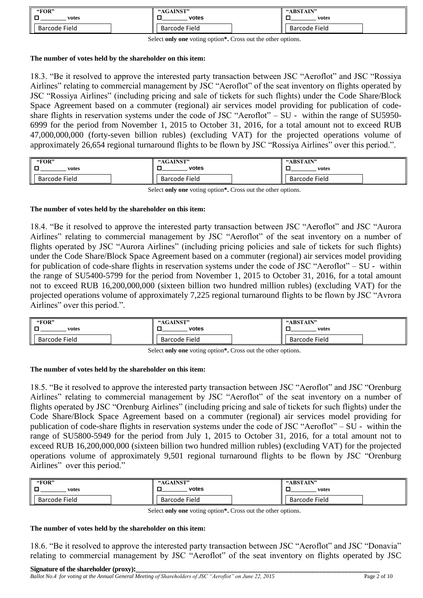| "FOR"         | "AGAINST"     | "ABSTAIN"     |
|---------------|---------------|---------------|
| votes         | votes         | votes         |
| Barcode Field | Barcode Field | Barcode Field |

Select **only one** voting option**\*.** Cross out the other options.

### **The number of votes held by the shareholder on this item:**

18.3. "Be it resolved to approve the interested party transaction between JSC "Aeroflot" and JSC "Rossiya Airlines" relating to commercial management by JSC "Aeroflot" of the seat inventory on flights operated by JSC "Rossiya Airlines" (including pricing and sale of tickets for such flights) under the Code Share/Block Space Agreement based on a commuter (regional) air services model providing for publication of codeshare flights in reservation systems under the code of JSC "Aeroflot" – SU - within the range of SU5950-6999 for the period from November 1, 2015 to October 31, 2016, for a total amount not to exceed RUB 47,000,000,000 (forty-seven billion rubles) (excluding VAT) for the projected operations volume of approximately 26,654 regional turnaround flights to be flown by JSC "Rossiya Airlines" over this period.".

| "FOR"<br>- Г<br>votes | "AGAINST"<br>votes   | "ABSTAIN"<br>votes   |
|-----------------------|----------------------|----------------------|
| I Barcode Field       | <b>Barcode Field</b> | <b>Barcode Field</b> |

Select **only one** voting option**\*.** Cross out the other options.

## **The number of votes held by the shareholder on this item:**

18.4. "Be it resolved to approve the interested party transaction between JSC "Aeroflot" and JSC "Aurora Airlines" relating to commercial management by JSC "Aeroflot" of the seat inventory on a number of flights operated by JSC "Aurora Airlines" (including pricing policies and sale of tickets for such flights) under the Code Share/Block Space Agreement based on a commuter (regional) air services model providing for publication of code-share flights in reservation systems under the code of JSC "Aeroflot" – SU - within the range of SU5400-5799 for the period from November 1, 2015 to October 31, 2016, for a total amount not to exceed RUB 16,200,000,000 (sixteen billion two hundred million rubles) (excluding VAT) for the projected operations volume of approximately 7,225 regional turnaround flights to be flown by JSC "Avrora Airlines" over this period.".

| "FOR"<br>votes<br>E | "AGAINST"<br>votes   | "ABSTAIN"<br>votes   |
|---------------------|----------------------|----------------------|
| Barcode Field       | <b>Barcode Field</b> | <b>Barcode Field</b> |

Select **only one** voting option**\*.** Cross out the other options.

### **The number of votes held by the shareholder on this item:**

18.5. "Be it resolved to approve the interested party transaction between JSC "Aeroflot" and JSC "Orenburg Airlines" relating to commercial management by JSC "Aeroflot" of the seat inventory on a number of flights operated by JSC "Orenburg Airlines" (including pricing and sale of tickets for such flights) under the Code Share/Block Space Agreement based on a commuter (regional) air services model providing for publication of code-share flights in reservation systems under the code of JSC "Aeroflot" – SU - within the range of SU5800-5949 for the period from July 1, 2015 to October 31, 2016, for a total amount not to exceed RUB 16,200,000,000 (sixteen billion two hundred million rubles) (excluding VAT) for the projected operations volume of approximately 9,501 regional turnaround flights to be flown by JSC "Orenburg Airlines" over this period."

| "FOR"         | "AGAINST"     | "ABSTAIN"     |
|---------------|---------------|---------------|
| votes         | votes         | votes         |
| Barcode Field | Barcode Field | Barcode Field |

Select **only one** voting option**\*.** Cross out the other options.

## **The number of votes held by the shareholder on this item:**

18.6. "Be it resolved to approve the interested party transaction between JSC "Aeroflot" and JSC "Donavia" relating to commercial management by JSC "Aeroflot" of the seat inventory on flights operated by JSC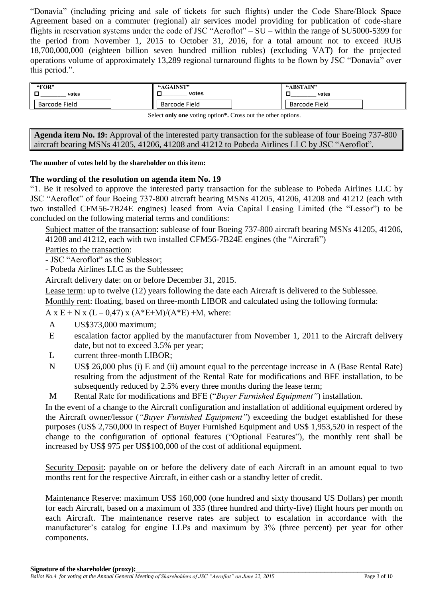"Donavia" (including pricing and sale of tickets for such flights) under the Code Share/Block Space Agreement based on a commuter (regional) air services model providing for publication of code-share flights in reservation systems under the code of JSC "Aeroflot" – SU – within the range of SU5000-5399 for the period from November 1, 2015 to October 31, 2016, for a total amount not to exceed RUB 18,700,000,000 (eighteen billion seven hundred million rubles) (excluding VAT) for the projected operations volume of approximately 13,289 regional turnaround flights to be flown by JSC "Donavia" over this period.".

| "FOR"         | "AGAINST"            | "ABSTAIN"     |
|---------------|----------------------|---------------|
| votes         | votes                | votes         |
| Barcode Field | <b>Barcode Field</b> | Barcode Field |

Select **only one** voting option**\*.** Cross out the other options.

**Agenda item No. 19:** Approval of the interested party transaction for the sublease of four Boeing 737-800 aircraft bearing MSNs 41205, 41206, 41208 and 41212 to Pobeda Airlines LLC by JSC "Aeroflot".

# **The number of votes held by the shareholder on this item:**

# **The wording of the resolution on agenda item No. 19**

"1. Be it resolved to approve the interested party transaction for the sublease to Pobeda Airlines LLC by JSC "Aeroflot" of four Boeing 737-800 aircraft bearing MSNs 41205, 41206, 41208 and 41212 (each with two installed CFM56-7B24E engines) leased from Avia Capital Leasing Limited (the "Lessor") to be concluded on the following material terms and conditions:

Subject matter of the transaction: sublease of four Boeing 737-800 aircraft bearing MSNs 41205, 41206, 41208 and 41212, each with two installed CFM56-7B24E engines (the "Aircraft")

Parties to the transaction:

- JSC "Aeroflot" as the Sublessor;

- Pobeda Airlines LLC as the Sublessee;

Aircraft delivery date: on or before December 31, 2015.

Lease term: up to twelve (12) years following the date each Aircraft is delivered to the Sublessee.

Monthly rent: floating, based on three-month LIBOR and calculated using the following formula:

A x E + N x (L – 0,47) x (A\*E+M)/(A\*E) +M, where:

- A US\$373,000 maximum;
- Е escalation factor applied by the manufacturer from November 1, 2011 to the Aircraft delivery date, but not to exceed 3.5% per year;
- L current three-month LIBOR;
- N US\$ 26,000 plus (i) E and (ii) amount equal to the percentage increase in A (Base Rental Rate) resulting from the adjustment of the Rental Rate for modifications and BFE installation, to be subsequently reduced by 2.5% every three months during the lease term;
- M Rental Rate for modifications and BFE ("*Buyer Furnished Equipment"*) installation.

In the event of a change to the Aircraft configuration and installation of additional equipment ordered by the Aircraft owner/lessor (*"Buyer Furnished Equipment"*) exceeding the budget established for these purposes (US\$ 2,750,000 in respect of Buyer Furnished Equipment and US\$ 1,953,520 in respect of the change to the configuration of optional features ("Optional Features"), the monthly rent shall be increased by US\$ 975 per US\$100,000 of the cost of additional equipment.

Security Deposit: payable on or before the delivery date of each Aircraft in an amount equal to two months rent for the respective Aircraft, in either cash or a standby letter of credit.

Maintenance Reserve: maximum US\$ 160,000 (one hundred and sixty thousand US Dollars) per month for each Aircraft, based on a maximum of 335 (three hundred and thirty-five) flight hours per month on each Aircraft. The maintenance reserve rates are subject to escalation in accordance with the manufacturer's catalog for engine LLPs and maximum by 3% (three percent) per year for other components.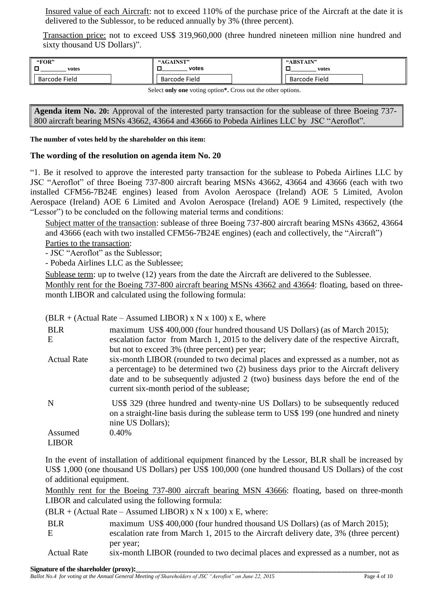Insured value of each Aircraft: not to exceed 110% of the purchase price of the Aircraft at the date it is delivered to the Sublessor, to be reduced annually by 3% (three percent).

Transaction price: not to exceed US\$ 319,960,000 (three hundred nineteen million nine hundred and sixty thousand US Dollars)".

| "FOR"                | "AGAINST"            | "ABSTAIN"            |
|----------------------|----------------------|----------------------|
| votes                | votes                | votes                |
| <b>Barcode Field</b> | <b>Barcode Field</b> | <b>Barcode Field</b> |

Select **only one** voting option**\*.** Cross out the other options.

**Agenda item No. 20:** Approval of the interested party transaction for the sublease of three Boeing 737- 800 aircraft bearing MSNs 43662, 43664 and 43666 to Pobeda Airlines LLC by JSC "Aeroflot".

# **The number of votes held by the shareholder on this item:**

# **The wording of the resolution on agenda item No. 20**

"1. Be it resolved to approve the interested party transaction for the sublease to Pobeda Airlines LLC by JSC "Aeroflot" of three Boeing 737-800 aircraft bearing MSNs 43662, 43664 and 43666 (each with two installed CFM56-7B24E engines) leased from Avolon Aerospace (Ireland) AOE 5 Limited, Avolon Aerospace (Ireland) AOE 6 Limited and Avolon Aerospace (Ireland) AOE 9 Limited, respectively (the "Lessor") to be concluded on the following material terms and conditions:

Subject matter of the transaction: sublease of three Boeing 737-800 aircraft bearing MSNs 43662, 43664 and 43666 (each with two installed CFM56-7B24E engines) (each and collectively, the "Aircraft")

Parties to the transaction:

- JSC "Aeroflot" as the Sublessor;

- Pobeda Airlines LLC as the Sublessee;

Sublease term: up to twelve (12) years from the date the Aircraft are delivered to the Sublessee.

Monthly rent for the Boeing 737-800 aircraft bearing MSNs 43662 and 43664: floating, based on threemonth LIBOR and calculated using the following formula:

|  | $(BLR + (Actual Rate - Assumed LIBOR) \times N \times 100) \times E$ , where |
|--|------------------------------------------------------------------------------|
|--|------------------------------------------------------------------------------|

| <b>BLR</b><br>E    | maximum US\$ 400,000 (four hundred thousand US Dollars) (as of March 2015);<br>escalation factor from March 1, 2015 to the delivery date of the respective Aircraft,<br>but not to exceed 3% (three percent) per year;                                                                                   |
|--------------------|----------------------------------------------------------------------------------------------------------------------------------------------------------------------------------------------------------------------------------------------------------------------------------------------------------|
| <b>Actual Rate</b> | six-month LIBOR (rounded to two decimal places and expressed as a number, not as<br>a percentage) to be determined two (2) business days prior to the Aircraft delivery<br>date and to be subsequently adjusted 2 (two) business days before the end of the<br>current six-month period of the sublease; |
| N                  | US\$ 329 (three hundred and twenty-nine US Dollars) to be subsequently reduced<br>on a straight-line basis during the sublease term to US\$ 199 (one hundred and ninety<br>nine US Dollars);                                                                                                             |
| Assumed            | 0.40%                                                                                                                                                                                                                                                                                                    |
| <b>LIBOR</b>       |                                                                                                                                                                                                                                                                                                          |

In the event of installation of additional equipment financed by the Lessor, BLR shall be increased by US\$ 1,000 (one thousand US Dollars) per US\$ 100,000 (one hundred thousand US Dollars) of the cost of additional equipment.

Monthly rent for the Boeing 737-800 aircraft bearing MSN 43666: floating, based on three-month LIBOR and calculated using the following formula:

|  |  | $(BLR + (Actual Rate - Assumed LIBOR) \times N \times 100) \times E$ , where: |  |  |
|--|--|-------------------------------------------------------------------------------|--|--|
|--|--|-------------------------------------------------------------------------------|--|--|

BLR maximum US\$ 400,000 (four hundred thousand US Dollars) (as of March 2015);

E escalation rate from March 1, 2015 to the Aircraft delivery date, 3% (three percent) per year;

Actual Rate six-month LIBOR (rounded to two decimal places and expressed as a number, not as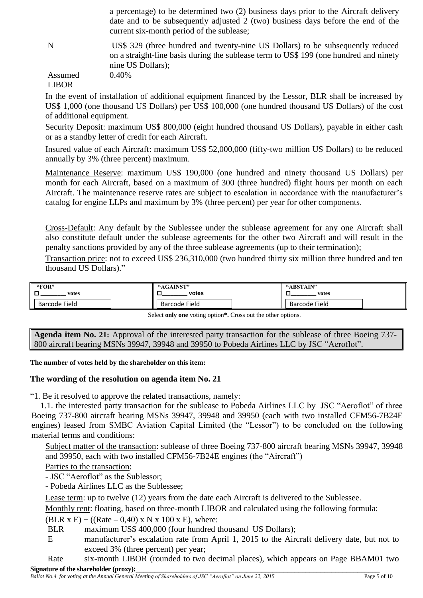a percentage) to be determined two (2) business days prior to the Aircraft delivery date and to be subsequently adjusted 2 (two) business days before the end of the current six-month period of the sublease;

N US\$ 329 (three hundred and twenty-nine US Dollars) to be subsequently reduced on a straight-line basis during the sublease term to US\$ 199 (one hundred and ninety nine US Dollars); 0.40%

Assumed LIBOR

In the event of installation of additional equipment financed by the Lessor, BLR shall be increased by US\$ 1,000 (one thousand US Dollars) per US\$ 100,000 (one hundred thousand US Dollars) of the cost of additional equipment.

Security Deposit: maximum US\$ 800,000 (eight hundred thousand US Dollars), payable in either cash or as a standby letter of credit for each Aircraft.

Insured value of each Aircraft: maximum US\$ 52,000,000 (fifty-two million US Dollars) to be reduced annually by 3% (three percent) maximum.

Maintenance Reserve: maximum US\$ 190,000 (one hundred and ninety thousand US Dollars) per month for each Aircraft, based on a maximum of 300 (three hundred) flight hours per month on each Aircraft. The maintenance reserve rates are subject to escalation in accordance with the manufacturer's catalog for engine LLPs and maximum by 3% (three percent) per year for other components.

Cross-Default: Any default by the Sublessee under the sublease agreement for any one Aircraft shall also constitute default under the sublease agreements for the other two Aircraft and will result in the penalty sanctions provided by any of the three sublease agreements (up to their termination);

Transaction price: not to exceed US\$ 236,310,000 (two hundred thirty six million three hundred and ten thousand US Dollars)."

| "FOR"<br>votes<br>_ | <b>"AGAINST"</b><br>votes | "ABSTAIN"<br>votes   |
|---------------------|---------------------------|----------------------|
| Barcode Field       | <b>Barcode Field</b>      | <b>Barcode Field</b> |

Select **only one** voting option**\*.** Cross out the other options.

**Agenda item No. 21:** Approval of the interested party transaction for the sublease of three Boeing 737- 800 aircraft bearing MSNs 39947, 39948 and 39950 to Pobeda Airlines LLC by JSC "Aeroflot".

**The number of votes held by the shareholder on this item:**

# **The wording of the resolution on agenda item No. 21**

"1. Be it resolved to approve the related transactions, namely:

1.1. the interested party transaction for the sublease to Pobeda Airlines LLC by JSC "Aeroflot" of three Boeing 737-800 aircraft bearing MSNs 39947, 39948 and 39950 (each with two installed CFM56-7B24E engines) leased from SMBC Aviation Capital Limited (the "Lessor") to be concluded on the following material terms and conditions:

Subject matter of the transaction: sublease of three Boeing 737-800 aircraft bearing MSNs 39947, 39948 and 39950, each with two installed CFM56-7B24E engines (the "Aircraft")

Parties to the transaction:

- JSC "Aeroflot" as the Sublessor;

- Pobeda Airlines LLC as the Sublessee;

Lease term: up to twelve (12) years from the date each Aircraft is delivered to the Sublessee.

Monthly rent: floating, based on three-month LIBOR and calculated using the following formula:

 $(BLR \times E) + ((Rate - 0.40) \times N \times 100 \times E)$ , where:

- BLR maximum US\$ 400,000 (four hundred thousand US Dollars):
- E manufacturer's escalation rate from April 1, 2015 to the Aircraft delivery date, but not to exceed 3% (three percent) per year;

**Signature of the shareholder (proxy):**<br>Ballot No.4 for voting at the Annual General Meeting of Shareholders of JSC "Aeroflot" on June 22, 2015 Page 5 of 10 Rate six-month LIBOR (rounded to two decimal places), which appears on Page BBAM01 two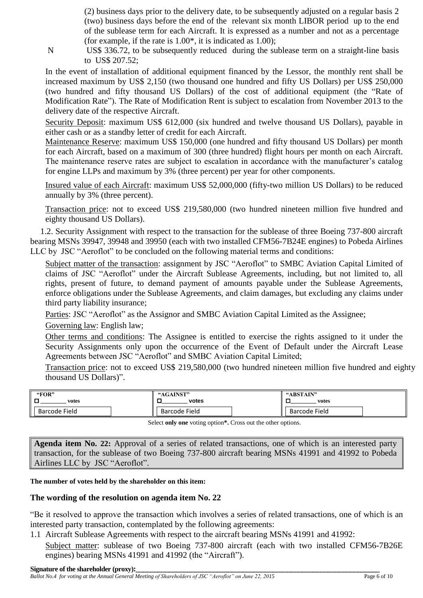(2) business days prior to the delivery date, to be subsequently adjusted on a regular basis 2 (two) business days before the end of the relevant six month LIBOR period up to the end of the sublease term for each Aircraft. It is expressed as a number and not as a percentage (for example, if the rate is  $1.00^*$ , it is indicated as  $1.00$ );

N US\$ 336.72, to be subsequently reduced during the sublease term on a straight-line basis to US\$ 207.52;

In the event of installation of additional equipment financed by the Lessor, the monthly rent shall be increased maximum by US\$ 2,150 (two thousand one hundred and fifty US Dollars) per US\$ 250,000 (two hundred and fifty thousand US Dollars) of the cost of additional equipment (the "Rate of Modification Rate"). The Rate of Modification Rent is subject to escalation from November 2013 to the delivery date of the respective Aircraft.

Security Deposit: maximum US\$ 612,000 (six hundred and twelve thousand US Dollars), payable in either cash or as a standby letter of credit for each Aircraft.

Maintenance Reserve: maximum US\$ 150,000 (one hundred and fifty thousand US Dollars) per month for each Aircraft, based on a maximum of 300 (three hundred) flight hours per month on each Aircraft. The maintenance reserve rates are subject to escalation in accordance with the manufacturer's catalog for engine LLPs and maximum by 3% (three percent) per year for other components.

Insured value of each Aircraft: maximum US\$ 52,000,000 (fifty-two million US Dollars) to be reduced annually by 3% (three percent).

Transaction price: not to exceed US\$ 219,580,000 (two hundred nineteen million five hundred and eighty thousand US Dollars).

1.2. Security Assignment with respect to the transaction for the sublease of three Boeing 737-800 aircraft bearing MSNs 39947, 39948 and 39950 (each with two installed CFM56-7B24E engines) to Pobeda Airlines LLC by JSC "Aeroflot" to be concluded on the following material terms and conditions:

Subject matter of the transaction: assignment by JSC "Aeroflot" to SMBC Aviation Capital Limited of claims of JSC "Aeroflot" under the Aircraft Sublease Agreements, including, but not limited to, all rights, present of future, to demand payment of amounts payable under the Sublease Agreements, enforce obligations under the Sublease Agreements, and claim damages, but excluding any claims under third party liability insurance;

Parties: JSC "Aeroflot" as the Assignor and SMBC Aviation Capital Limited as the Assignee;

Governing law: English law;

Other terms and conditions: The Assignee is entitled to exercise the rights assigned to it under the Security Assignments only upon the occurrence of the Event of Default under the Aircraft Lease Agreements between JSC "Aeroflot" and SMBC Aviation Capital Limited;

Transaction price: not to exceed US\$ 219,580,000 (two hundred nineteen million five hundred and eighty thousand US Dollars)".

| "FOR"         | "AGAINST"            | "ABSTAIN"     |
|---------------|----------------------|---------------|
| votes         | votes                | votes         |
| Barcode Field | <b>Barcode Field</b> | Barcode Field |

Select **only one** voting option**\*.** Cross out the other options.

**Agenda item No. 22:** Approval of a series of related transactions, one of which is an interested party transaction, for the sublease of two Boeing 737-800 aircraft bearing MSNs 41991 and 41992 to Pobeda Airlines LLC by JSC "Aeroflot".

# **The number of votes held by the shareholder on this item:**

# **The wording of the resolution on agenda item No. 22**

"Be it resolved to approve the transaction which involves a series of related transactions, one of which is an interested party transaction, contemplated by the following agreements:

- 1.1 Aircraft Sublease Agreements with respect to the aircraft bearing MSNs 41991 and 41992:
- Subject matter: sublease of two Boeing 737-800 aircraft (each with two installed CFM56-7B26E engines) bearing MSNs 41991 and 41992 (the "Aircraft").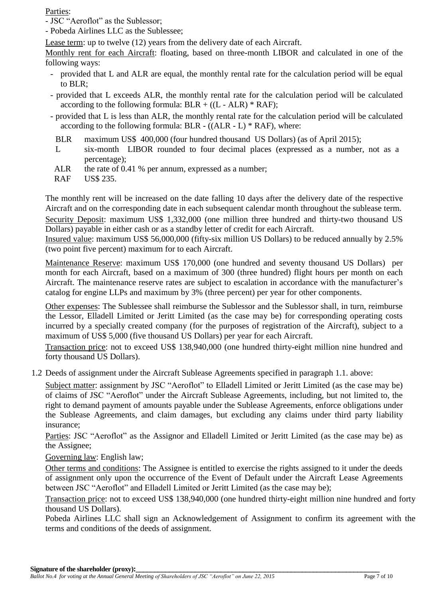Parties:

- JSC "Aeroflot" as the Sublessor;

- Pobeda Airlines LLC as the Sublessee;

Lease term: up to twelve (12) years from the delivery date of each Aircraft.

Monthly rent for each Aircraft: floating, based on three-month LIBOR and calculated in one of the following ways:

- provided that L and ALR are equal, the monthly rental rate for the calculation period will be equal to BLR;
- provided that L exceeds ALR, the monthly rental rate for the calculation period will be calculated according to the following formula:  $BLR + ((L - ALR) * RAF);$
- provided that L is less than ALR, the monthly rental rate for the calculation period will be calculated according to the following formula: BLR  $-$  ((ALR  $-$  L)  $*$  RAF), where:
	- BLR maximum US\$ 400,000 (four hundred thousand US Dollars) (as of April 2015);
	- L six-month LIBOR rounded to four decimal places (expressed as a number, not as a percentage);
- ALR the rate of 0.41 % per annum, expressed as a number;
- RAF US\$ 235.

The monthly rent will be increased on the date falling 10 days after the delivery date of the respective Aircraft and on the corresponding date in each subsequent calendar month throughout the sublease term. Security Deposit: maximum US\$ 1,332,000 (one million three hundred and thirty-two thousand US Dollars) payable in either cash or as a standby letter of credit for each Aircraft.

Insured value: maximum US\$ 56,000,000 (fifty-six million US Dollars) to be reduced annually by 2.5% (two point five percent) maximum for to each Aircraft.

Maintenance Reserve: maximum US\$ 170,000 (one hundred and seventy thousand US Dollars) per month for each Aircraft, based on a maximum of 300 (three hundred) flight hours per month on each Aircraft. The maintenance reserve rates are subject to escalation in accordance with the manufacturer's catalog for engine LLPs and maximum by 3% (three percent) per year for other components.

Other expenses: The Sublessee shall reimburse the Sublessor and the Sublessor shall, in turn, reimburse the Lessor, Elladell Limited or Jeritt Limited (as the case may be) for corresponding operating costs incurred by a specially created company (for the purposes of registration of the Aircraft), subject to a maximum of US\$ 5,000 (five thousand US Dollars) per year for each Aircraft.

Transaction price: not to exceed US\$ 138,940,000 (one hundred thirty-eight million nine hundred and forty thousand US Dollars).

1.2 Deeds of assignment under the Aircraft Sublease Agreements specified in paragraph 1.1. above:

Subject matter: assignment by JSC "Aeroflot" to Elladell Limited or Jeritt Limited (as the case may be) of claims of JSC "Aeroflot" under the Aircraft Sublease Agreements, including, but not limited to, the right to demand payment of amounts payable under the Sublease Agreements, enforce obligations under the Sublease Agreements, and claim damages, but excluding any claims under third party liability insurance;

Parties: JSC "Aeroflot" as the Assignor and Elladell Limited or Jeritt Limited (as the case may be) as the Assignee;

Governing law: English law;

Other terms and conditions: The Assignee is entitled to exercise the rights assigned to it under the deeds of assignment only upon the occurrence of the Event of Default under the Aircraft Lease Agreements between JSC "Aeroflot" and Elladell Limited or Jeritt Limited (as the case may be);

Transaction price: not to exceed US\$ 138,940,000 (one hundred thirty-eight million nine hundred and forty thousand US Dollars).

Pobeda Airlines LLC shall sign an Acknowledgement of Assignment to confirm its agreement with the terms and conditions of the deeds of assignment.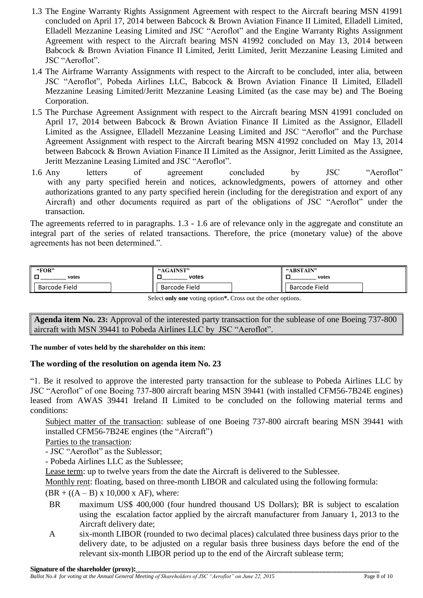- 1.3 The Engine Warranty Rights Assignment Agreement with respect to the Aircraft bearing MSN 41991 concluded on April 17, 2014 between Babcock & Brown Aviation Finance II Limited, Elladell Limited, Elladell Mezzanine Leasing Limited and JSC "Aeroflot" and the Engine Warranty Rights Assignment Agreement with respect to the Aircraft bearing MSN 41992 concluded on May 13, 2014 between Babcock & Brown Aviation Finance II Limited, Jeritt Limited, Jeritt Mezzanine Leasing Limited and JSC "Aeroflot".
- 1.4 The Airframe Warranty Assignments with respect to the Aircraft to be concluded, inter alia, between JSC "Aeroflot", Pobeda Airlines LLC, Babcock & Brown Aviation Finance II Limited, Elladell Mezzanine Leasing Limited/Jeritt Mezzanine Leasing Limited (as the case may be) and The Boeing Corporation.
- 1.5 The Purchase Agreement Assignment with respect to the Aircraft bearing MSN 41991 concluded on April 17, 2014 between Babcock & Brown Aviation Finance II Limited as the Assignor, Elladell Limited as the Assignee, Elladell Mezzanine Leasing Limited and JSC "Aeroflot" and the Purchase Agreement Assignment with respect to the Aircraft bearing MSN 41992 concluded on May 13, 2014 between Babcock & Brown Aviation Finance II Limited as the Assignor, Jeritt Limited as the Assignee, Jeritt Mezzanine Leasing Limited and JSC "Aeroflot".
- 1.6 Any letters of agreement concluded by JSC "Aeroflot" with any party specified herein and notices, acknowledgments, powers of attorney and other authorizations granted to any party specified herein (including for the deregistration and export of any Aircraft) and other documents required as part of the obligations of JSC "Aeroflot" under the transaction.

The agreements referred to in paragraphs. 1.3 - 1.6 are of relevance only in the aggregate and constitute an integral part of the series of related transactions. Therefore, the price (monetary value) of the above agreements has not been determined.".

| "FOR"         | "AGAINST"     | "ABSTAIN"     |
|---------------|---------------|---------------|
| votes         | votes         | votes         |
| Barcode Field | Barcode Field | Barcode Field |

Select **only one** voting option**\*.** Cross out the other options.

**Agenda item No. 23:** Approval of the interested party transaction for the sublease of one Boeing 737-800 aircraft with MSN 39441 to Pobeda Airlines LLC by JSC "Aeroflot".

**The number of votes held by the shareholder on this item:**

# **The wording of the resolution on agenda item No. 23**

"1. Be it resolved to approve the interested party transaction for the sublease to Pobeda Airlines LLC by JSC "Aeroflot" of one Boeing 737-800 aircraft bearing MSN 39441 (with installed CFM56-7B24E engines) leased from AWAS 39441 Ireland II Limited to be concluded on the following material terms and conditions:

Subject matter of the transaction: sublease of one Boeing 737-800 aircraft bearing MSN 39441 with installed CFM56-7B24E engines (the "Aircraft")

Parties to the transaction:

- JSC "Aeroflot" as the Sublessor;

- Pobeda Airlines LLC as the Sublessee;

Lease term: up to twelve years from the date the Aircraft is delivered to the Sublessee.

Monthly rent: floating, based on three-month LIBOR and calculated using the following formula:

 $(BR + ((A - B) \times 10,000 \times AF))$ , where:

- BR maximum US\$ 400,000 (four hundred thousand US Dollars); BR is subject to escalation using the escalation factor applied by the aircraft manufacturer from January 1, 2013 to the Aircraft delivery date;
- A six-month LIBOR (rounded to two decimal places) calculated three business days prior to the delivery date, to be adjusted on a regular basis three business days before the end of the relevant six-month LIBOR period up to the end of the Aircraft sublease term;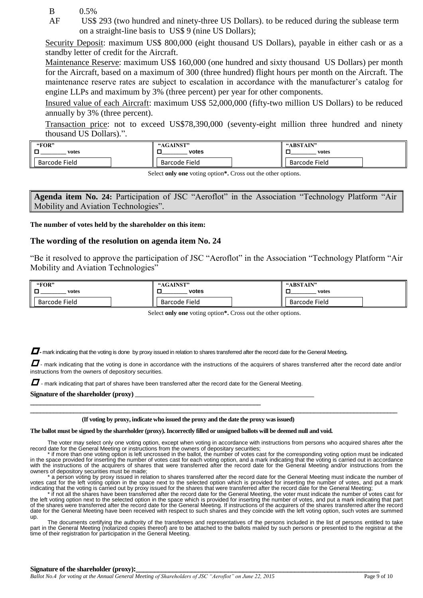- B 0.5%
- AF US\$ 293 (two hundred and ninety-three US Dollars). to be reduced during the sublease term on a straight-line basis to US\$ 9 (nine US Dollars);

Security Deposit: maximum US\$ 800,000 (eight thousand US Dollars), payable in either cash or as a standby letter of credit for the Aircraft.

Maintenance Reserve: maximum US\$ 160,000 (one hundred and sixty thousand US Dollars) per month for the Aircraft, based on a maximum of 300 (three hundred) flight hours per month on the Aircraft. The maintenance reserve rates are subject to escalation in accordance with the manufacturer's catalog for engine LLPs and maximum by 3% (three percent) per year for other components.

Insured value of each Aircraft: maximum US\$ 52,000,000 (fifty-two million US Dollars) to be reduced annually by 3% (three percent).

Transaction price: not to exceed US\$78,390,000 (seventy-eight million three hundred and ninety thousand US Dollars).".

| "FOR"         | "AGAINST"            | "ABSTAIN"            |
|---------------|----------------------|----------------------|
| votes         | votes                | votes                |
| Barcode Field | <b>Barcode Field</b> | <b>Barcode Field</b> |

Select **only one** voting option**\*.** Cross out the other options.

**Agenda item No. 24:** Participation of JSC "Aeroflot" in the Association "Technology Platform "Air Mobility and Aviation Technologies".

### **The number of votes held by the shareholder on this item:**

### **The wording of the resolution on agenda item No. 24**

"Be it resolved to approve the participation of JSC "Aeroflot" in the Association "Technology Platform "Air Mobility and Aviation Technologies"

| "FOR"         | "AGAINST"     | "ABSTAIN"     |
|---------------|---------------|---------------|
| votes         | votes         | votes         |
| Barcode Field | Barcode Field | Barcode Field |

Select **only one** voting option**\*.** Cross out the other options.

**-** mark indicating that the voting is done by proxy issued in relation to shares transferred after the record date for the General Meeting**.**

 $\Box$  - mark indicating that the voting is done in accordance with the instructions of the acquirers of shares transferred after the record date and/or instructions from the owners of depository securities.

 $\Box$  - mark indicating that part of shares have been transferred after the record date for the General Meeting.

**\_\_\_\_\_\_\_\_\_\_\_\_\_\_\_\_\_\_\_\_\_\_\_\_\_\_\_\_\_\_\_\_\_\_\_\_\_\_\_\_\_\_\_\_\_\_\_\_\_\_\_\_\_\_\_\_\_\_\_\_\_\_\_\_\_\_\_\_\_**

Signature of the shareholder (proxy)

#### **(If voting by proxy, indicate who issued the proxy and the date the proxy was issued)**

#### **The ballot must be signed by the shareholder (proxy). Incorrectly filled or unsigned ballots will be deemed null and void.**

The voter may select only one voting option, except when voting in accordance with instructions from persons who acquired shares after the record date for the General Meeting or instructions from the owners of depositary securities;

**\_\_\_\_\_\_\_\_\_\_\_\_\_\_\_\_\_\_\_\_\_\_\_\_\_\_\_\_\_\_\_\_\_\_\_\_\_\_\_\_\_\_\_\_\_\_\_\_\_\_\_\_\_\_\_\_\_\_\_\_\_\_\_\_\_\_\_\_\_\_\_\_\_\_\_\_\_\_\_\_\_\_\_\_\_\_\_\_\_\_\_\_\_\_\_\_\_\_\_\_\_\_\_\_\_\_\_\_\_\_**

\* if more than one voting option is left uncrossed in the ballot, the number of votes cast for the corresponding voting option must be indicated in the space provided for inserting the number of votes cast for each voting option, and a mark indicating that the voting is carried out in accordance with the instructions of the acquirers of shares that were transferred after the record date for the General Meeting and/or instructions from the owners of depository securities must be made;<br>\* a person voting by proxy issued in relation to shares transferred after the record date for the General Meeting must indicate the number of

votes cast for the left voting option in the space next to the selected option which is provided for inserting the number of votes, and put a mark indicating that the voting is carried out by proxy issued for the shares that were transferred after the record date for the General Meeting;<br>\* if not all the shares have been transferred after the record date for the Gene

the left voting option next to the selected option in the space which is provided for inserting the number of votes, and put a mark indicating that part of the shares were transferred after the record date for the General Meeting. If instructions of the acquirers of the shares transferred after the record<br>date for the General Meeting have been received with respect to such up.

The documents certifying the authority of the transferees and representatives of the persons included in the list of persons entitled to take<br>part in the General Meeting (notarized copies thereof) are to be attached to the time of their registration for participation in the General Meeting.